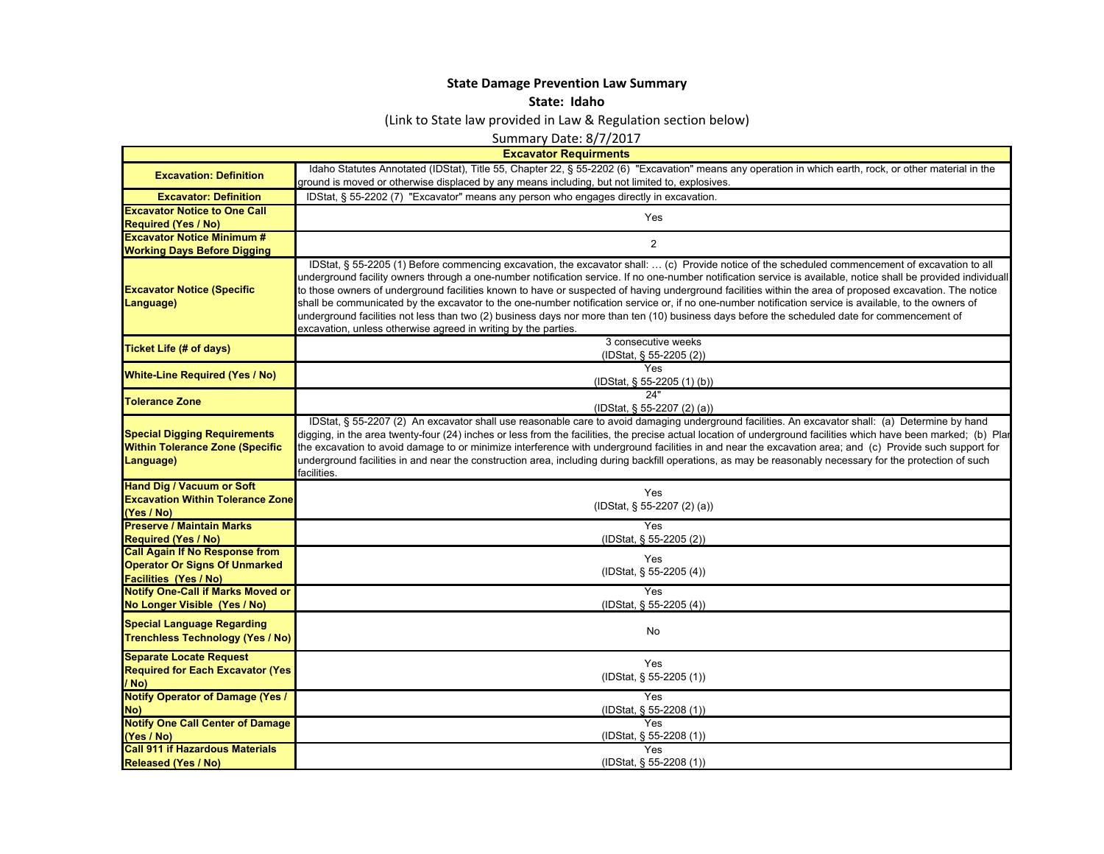## **State Damage Prevention Law Summary**

## **State: Idaho**

(Link to State law provided in Law & Regulation section below)

Summary Date: 8/7/2017

| <b>Excavator Requirmen</b> |
|----------------------------|
|                            |
|                            |
|                            |
|                            |
|                            |
|                            |
|                            |
|                            |
|                            |
|                            |

|                                                                                            | <b>Excavator Requirments</b>                                                                                                                                                                                                                                                                                                                                                                                                                                                                                                                                                                                                                                                                                                                                                                                                                                |
|--------------------------------------------------------------------------------------------|-------------------------------------------------------------------------------------------------------------------------------------------------------------------------------------------------------------------------------------------------------------------------------------------------------------------------------------------------------------------------------------------------------------------------------------------------------------------------------------------------------------------------------------------------------------------------------------------------------------------------------------------------------------------------------------------------------------------------------------------------------------------------------------------------------------------------------------------------------------|
| <b>Excavation: Definition</b>                                                              | Idaho Statutes Annotated (IDStat), Title 55, Chapter 22, § 55-2202 (6) "Excavation" means any operation in which earth, rock, or other material in the                                                                                                                                                                                                                                                                                                                                                                                                                                                                                                                                                                                                                                                                                                      |
|                                                                                            | ground is moved or otherwise displaced by any means including, but not limited to, explosives.                                                                                                                                                                                                                                                                                                                                                                                                                                                                                                                                                                                                                                                                                                                                                              |
| <b>Excavator: Definition</b>                                                               | IDStat, § 55-2202 (7) "Excavator" means any person who engages directly in excavation.                                                                                                                                                                                                                                                                                                                                                                                                                                                                                                                                                                                                                                                                                                                                                                      |
| <b>Excavator Notice to One Call</b>                                                        | Yes                                                                                                                                                                                                                                                                                                                                                                                                                                                                                                                                                                                                                                                                                                                                                                                                                                                         |
| <b>Required (Yes / No)</b>                                                                 |                                                                                                                                                                                                                                                                                                                                                                                                                                                                                                                                                                                                                                                                                                                                                                                                                                                             |
| <b>Excavator Notice Minimum #</b>                                                          | 2                                                                                                                                                                                                                                                                                                                                                                                                                                                                                                                                                                                                                                                                                                                                                                                                                                                           |
| <b>Working Days Before Digging</b>                                                         |                                                                                                                                                                                                                                                                                                                                                                                                                                                                                                                                                                                                                                                                                                                                                                                                                                                             |
| <b>Excavator Notice (Specific</b><br>Language)                                             | IDStat, § 55-2205 (1) Before commencing excavation, the excavator shall:  (c) Provide notice of the scheduled commencement of excavation to all<br>underground facility owners through a one-number notification service. If no one-number notification service is available, notice shall be provided individuall<br>to those owners of underground facilities known to have or suspected of having underground facilities within the area of proposed excavation. The notice<br>shall be communicated by the excavator to the one-number notification service or, if no one-number notification service is available, to the owners of<br>underground facilities not less than two (2) business days nor more than ten (10) business days before the scheduled date for commencement of<br>excavation, unless otherwise agreed in writing by the parties. |
| <b>Ticket Life (# of days)</b>                                                             | 3 consecutive weeks                                                                                                                                                                                                                                                                                                                                                                                                                                                                                                                                                                                                                                                                                                                                                                                                                                         |
|                                                                                            | (IDStat, § 55-2205 (2))<br>Yes                                                                                                                                                                                                                                                                                                                                                                                                                                                                                                                                                                                                                                                                                                                                                                                                                              |
| <b>White-Line Required (Yes / No)</b>                                                      | (IDStat, § 55-2205 (1) (b))                                                                                                                                                                                                                                                                                                                                                                                                                                                                                                                                                                                                                                                                                                                                                                                                                                 |
|                                                                                            | 24"                                                                                                                                                                                                                                                                                                                                                                                                                                                                                                                                                                                                                                                                                                                                                                                                                                                         |
| <b>Tolerance Zone</b>                                                                      | (IDStat, § 55-2207 (2) (a))                                                                                                                                                                                                                                                                                                                                                                                                                                                                                                                                                                                                                                                                                                                                                                                                                                 |
| <b>Special Digging Requirements</b><br><b>Within Tolerance Zone (Specific</b><br>Language) | IDStat, § 55-2207 (2) An excavator shall use reasonable care to avoid damaging underground facilities. An excavator shall: (a) Determine by hand<br>digging, in the area twenty-four (24) inches or less from the facilities, the precise actual location of underground facilities which have been marked; (b) Plar<br>the excavation to avoid damage to or minimize interference with underground facilities in and near the excavation area; and (c) Provide such support for<br>underground facilities in and near the construction area, including during backfill operations, as may be reasonably necessary for the protection of such<br>facilities.                                                                                                                                                                                                |
| <b>Hand Dig / Vacuum or Soft</b>                                                           | Yes                                                                                                                                                                                                                                                                                                                                                                                                                                                                                                                                                                                                                                                                                                                                                                                                                                                         |
| <b>Excavation Within Tolerance Zone</b>                                                    | (IDStat, § 55-2207 (2) (a))                                                                                                                                                                                                                                                                                                                                                                                                                                                                                                                                                                                                                                                                                                                                                                                                                                 |
| (Yes / No)                                                                                 |                                                                                                                                                                                                                                                                                                                                                                                                                                                                                                                                                                                                                                                                                                                                                                                                                                                             |
| <b>Preserve / Maintain Marks</b>                                                           | Yes                                                                                                                                                                                                                                                                                                                                                                                                                                                                                                                                                                                                                                                                                                                                                                                                                                                         |
| <b>Required (Yes / No)</b>                                                                 | (IDStat, § 55-2205 (2))                                                                                                                                                                                                                                                                                                                                                                                                                                                                                                                                                                                                                                                                                                                                                                                                                                     |
| <b>Call Again If No Response from</b>                                                      | Yes                                                                                                                                                                                                                                                                                                                                                                                                                                                                                                                                                                                                                                                                                                                                                                                                                                                         |
| <b>Operator Or Signs Of Unmarked</b>                                                       | (IDStat, § 55-2205 (4))                                                                                                                                                                                                                                                                                                                                                                                                                                                                                                                                                                                                                                                                                                                                                                                                                                     |
| <b>Facilities (Yes / No)</b><br><b>Notify One-Call if Marks Moved or</b>                   | <b>Yes</b>                                                                                                                                                                                                                                                                                                                                                                                                                                                                                                                                                                                                                                                                                                                                                                                                                                                  |
| No Longer Visible (Yes / No)                                                               | (IDStat, § 55-2205 (4))                                                                                                                                                                                                                                                                                                                                                                                                                                                                                                                                                                                                                                                                                                                                                                                                                                     |
|                                                                                            |                                                                                                                                                                                                                                                                                                                                                                                                                                                                                                                                                                                                                                                                                                                                                                                                                                                             |
| <b>Special Language Regarding</b><br><b>Trenchless Technology (Yes / No)</b>               | No                                                                                                                                                                                                                                                                                                                                                                                                                                                                                                                                                                                                                                                                                                                                                                                                                                                          |
| <b>Separate Locate Request</b>                                                             | Yes                                                                                                                                                                                                                                                                                                                                                                                                                                                                                                                                                                                                                                                                                                                                                                                                                                                         |
| <b>Required for Each Excavator (Yes</b>                                                    | (IDStat, § 55-2205 (1))                                                                                                                                                                                                                                                                                                                                                                                                                                                                                                                                                                                                                                                                                                                                                                                                                                     |
| / No)                                                                                      |                                                                                                                                                                                                                                                                                                                                                                                                                                                                                                                                                                                                                                                                                                                                                                                                                                                             |
| <b>Notify Operator of Damage (Yes /</b>                                                    | Yes                                                                                                                                                                                                                                                                                                                                                                                                                                                                                                                                                                                                                                                                                                                                                                                                                                                         |
| No)                                                                                        | (IDStat, § 55-2208 (1))                                                                                                                                                                                                                                                                                                                                                                                                                                                                                                                                                                                                                                                                                                                                                                                                                                     |
| <b>Notify One Call Center of Damage</b>                                                    | <b>Yes</b>                                                                                                                                                                                                                                                                                                                                                                                                                                                                                                                                                                                                                                                                                                                                                                                                                                                  |
| (Yes / No)                                                                                 | (IDStat, § 55-2208 (1))                                                                                                                                                                                                                                                                                                                                                                                                                                                                                                                                                                                                                                                                                                                                                                                                                                     |
| <b>Call 911 if Hazardous Materials</b>                                                     | Yes                                                                                                                                                                                                                                                                                                                                                                                                                                                                                                                                                                                                                                                                                                                                                                                                                                                         |
| <b>Released (Yes / No)</b>                                                                 | (IDStat, § 55-2208 (1))                                                                                                                                                                                                                                                                                                                                                                                                                                                                                                                                                                                                                                                                                                                                                                                                                                     |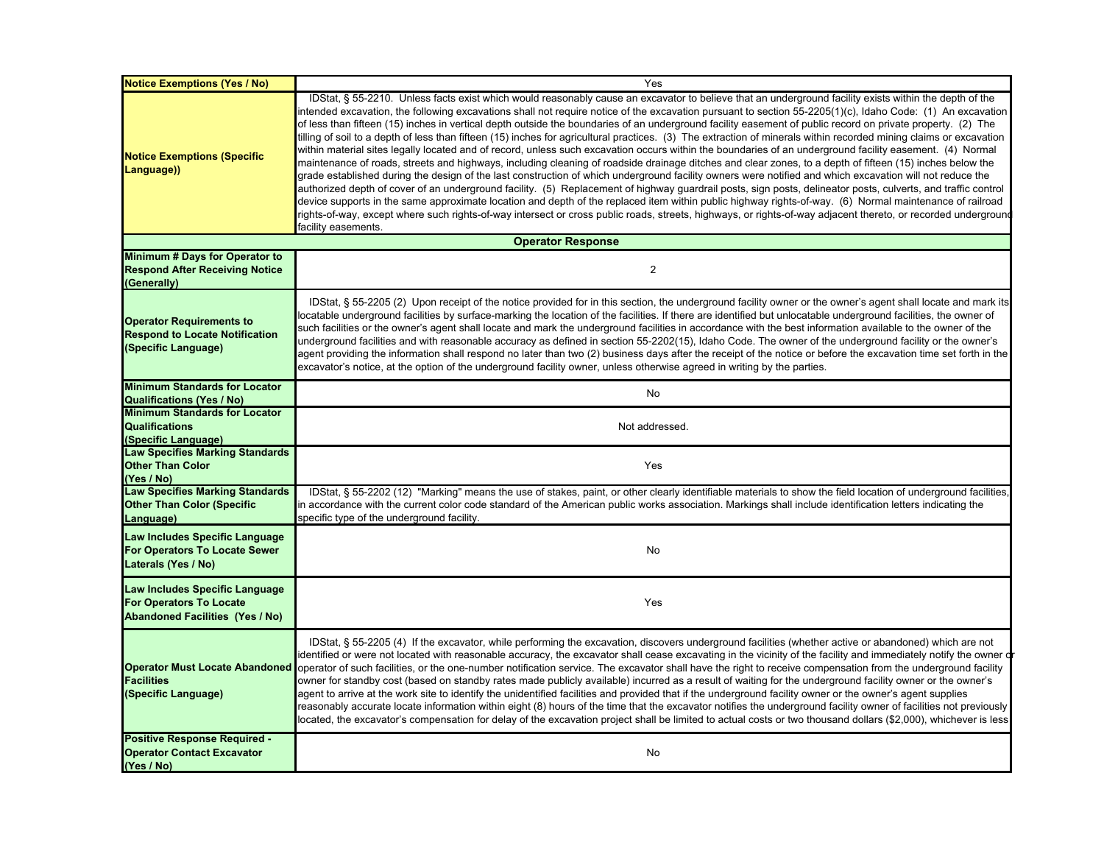| <b>Notice Exemptions (Yes / No)</b>                                                                        | Yes                                                                                                                                                                                                                                                                                                                                                                                                                                                                                                                                                                                                                                                                                                                                                                                                                                                                                                                                                                                                                                                                                                                                                                                                                                                                                                                                                                                                                                                                                                                                                                                                                                                               |
|------------------------------------------------------------------------------------------------------------|-------------------------------------------------------------------------------------------------------------------------------------------------------------------------------------------------------------------------------------------------------------------------------------------------------------------------------------------------------------------------------------------------------------------------------------------------------------------------------------------------------------------------------------------------------------------------------------------------------------------------------------------------------------------------------------------------------------------------------------------------------------------------------------------------------------------------------------------------------------------------------------------------------------------------------------------------------------------------------------------------------------------------------------------------------------------------------------------------------------------------------------------------------------------------------------------------------------------------------------------------------------------------------------------------------------------------------------------------------------------------------------------------------------------------------------------------------------------------------------------------------------------------------------------------------------------------------------------------------------------------------------------------------------------|
| <b>Notice Exemptions (Specific</b><br>Language))                                                           | IDStat, § 55-2210. Unless facts exist which would reasonably cause an excavator to believe that an underground facility exists within the depth of the<br>intended excavation, the following excavations shall not require notice of the excavation pursuant to section 55-2205(1)(c), Idaho Code: (1) An excavation<br>of less than fifteen (15) inches in vertical depth outside the boundaries of an underground facility easement of public record on private property. (2) The<br>tilling of soil to a depth of less than fifteen (15) inches for agricultural practices. (3) The extraction of minerals within recorded mining claims or excavation<br>within material sites legally located and of record, unless such excavation occurs within the boundaries of an underground facility easement. (4) Normal<br>maintenance of roads, streets and highways, including cleaning of roadside drainage ditches and clear zones, to a depth of fifteen (15) inches below the<br>grade established during the design of the last construction of which underground facility owners were notified and which excavation will not reduce the<br>authorized depth of cover of an underground facility. (5) Replacement of highway guardrail posts, sign posts, delineator posts, culverts, and traffic control<br>device supports in the same approximate location and depth of the replaced item within public highway rights-of-way. (6) Normal maintenance of railroad<br>rights-of-way, except where such rights-of-way intersect or cross public roads, streets, highways, or rights-of-way adjacent thereto, or recorded underground<br>facility easements. |
|                                                                                                            | <b>Operator Response</b>                                                                                                                                                                                                                                                                                                                                                                                                                                                                                                                                                                                                                                                                                                                                                                                                                                                                                                                                                                                                                                                                                                                                                                                                                                                                                                                                                                                                                                                                                                                                                                                                                                          |
| Minimum # Days for Operator to<br><b>Respond After Receiving Notice</b><br>(Generally)                     | $\overline{2}$                                                                                                                                                                                                                                                                                                                                                                                                                                                                                                                                                                                                                                                                                                                                                                                                                                                                                                                                                                                                                                                                                                                                                                                                                                                                                                                                                                                                                                                                                                                                                                                                                                                    |
| <b>Operator Requirements to</b><br><b>Respond to Locate Notification</b><br>(Specific Language)            | IDStat, § 55-2205 (2) Upon receipt of the notice provided for in this section, the underground facility owner or the owner's agent shall locate and mark its<br>locatable underground facilities by surface-marking the location of the facilities. If there are identified but unlocatable underground facilities, the owner of<br>such facilities or the owner's agent shall locate and mark the underground facilities in accordance with the best information available to the owner of the<br>underground facilities and with reasonable accuracy as defined in section 55-2202(15), Idaho Code. The owner of the underground facility or the owner's<br>agent providing the information shall respond no later than two (2) business days after the receipt of the notice or before the excavation time set forth in the<br>excavator's notice, at the option of the underground facility owner, unless otherwise agreed in writing by the parties.                                                                                                                                                                                                                                                                                                                                                                                                                                                                                                                                                                                                                                                                                                         |
| <b>Minimum Standards for Locator</b><br><b>Qualifications (Yes / No)</b>                                   | No                                                                                                                                                                                                                                                                                                                                                                                                                                                                                                                                                                                                                                                                                                                                                                                                                                                                                                                                                                                                                                                                                                                                                                                                                                                                                                                                                                                                                                                                                                                                                                                                                                                                |
| <b>Minimum Standards for Locator</b><br><b>Qualifications</b><br>(Specific Language)                       | Not addressed.                                                                                                                                                                                                                                                                                                                                                                                                                                                                                                                                                                                                                                                                                                                                                                                                                                                                                                                                                                                                                                                                                                                                                                                                                                                                                                                                                                                                                                                                                                                                                                                                                                                    |
| <b>Law Specifies Marking Standards</b><br><b>Other Than Color</b><br>(Yes / No)                            | Yes                                                                                                                                                                                                                                                                                                                                                                                                                                                                                                                                                                                                                                                                                                                                                                                                                                                                                                                                                                                                                                                                                                                                                                                                                                                                                                                                                                                                                                                                                                                                                                                                                                                               |
| <b>Law Specifies Marking Standards</b><br><b>Other Than Color (Specific</b><br>Language)                   | IDStat, § 55-2202 (12) "Marking" means the use of stakes, paint, or other clearly identifiable materials to show the field location of underground facilities,<br>in accordance with the current color code standard of the American public works association. Markings shall include identification letters indicating the<br>specific type of the underground facility.                                                                                                                                                                                                                                                                                                                                                                                                                                                                                                                                                                                                                                                                                                                                                                                                                                                                                                                                                                                                                                                                                                                                                                                                                                                                                         |
| Law Includes Specific Language<br><b>For Operators To Locate Sewer</b><br>Laterals (Yes / No)              | No                                                                                                                                                                                                                                                                                                                                                                                                                                                                                                                                                                                                                                                                                                                                                                                                                                                                                                                                                                                                                                                                                                                                                                                                                                                                                                                                                                                                                                                                                                                                                                                                                                                                |
| Law Includes Specific Language<br><b>For Operators To Locate</b><br><b>Abandoned Facilities (Yes / No)</b> | Yes                                                                                                                                                                                                                                                                                                                                                                                                                                                                                                                                                                                                                                                                                                                                                                                                                                                                                                                                                                                                                                                                                                                                                                                                                                                                                                                                                                                                                                                                                                                                                                                                                                                               |
| <b>Operator Must Locate Abandoned</b><br><b>Facilities</b><br>(Specific Language)                          | IDStat, § 55-2205 (4) If the excavator, while performing the excavation, discovers underground facilities (whether active or abandoned) which are not<br>dentified or were not located with reasonable accuracy, the excavator shall cease excavating in the vicinity of the facility and immediately notify the owner di<br>operator of such facilities, or the one-number notification service. The excavator shall have the right to receive compensation from the underground facility<br>owner for standby cost (based on standby rates made publicly available) incurred as a result of waiting for the underground facility owner or the owner's<br>agent to arrive at the work site to identify the unidentified facilities and provided that if the underground facility owner or the owner's agent supplies<br>reasonably accurate locate information within eight (8) hours of the time that the excavator notifies the underground facility owner of facilities not previously<br>located, the excavator's compensation for delay of the excavation project shall be limited to actual costs or two thousand dollars (\$2,000), whichever is less                                                                                                                                                                                                                                                                                                                                                                                                                                                                                                     |
| <b>Positive Response Required -</b><br><b>Operator Contact Excavator</b><br>(Yes / No)                     | No                                                                                                                                                                                                                                                                                                                                                                                                                                                                                                                                                                                                                                                                                                                                                                                                                                                                                                                                                                                                                                                                                                                                                                                                                                                                                                                                                                                                                                                                                                                                                                                                                                                                |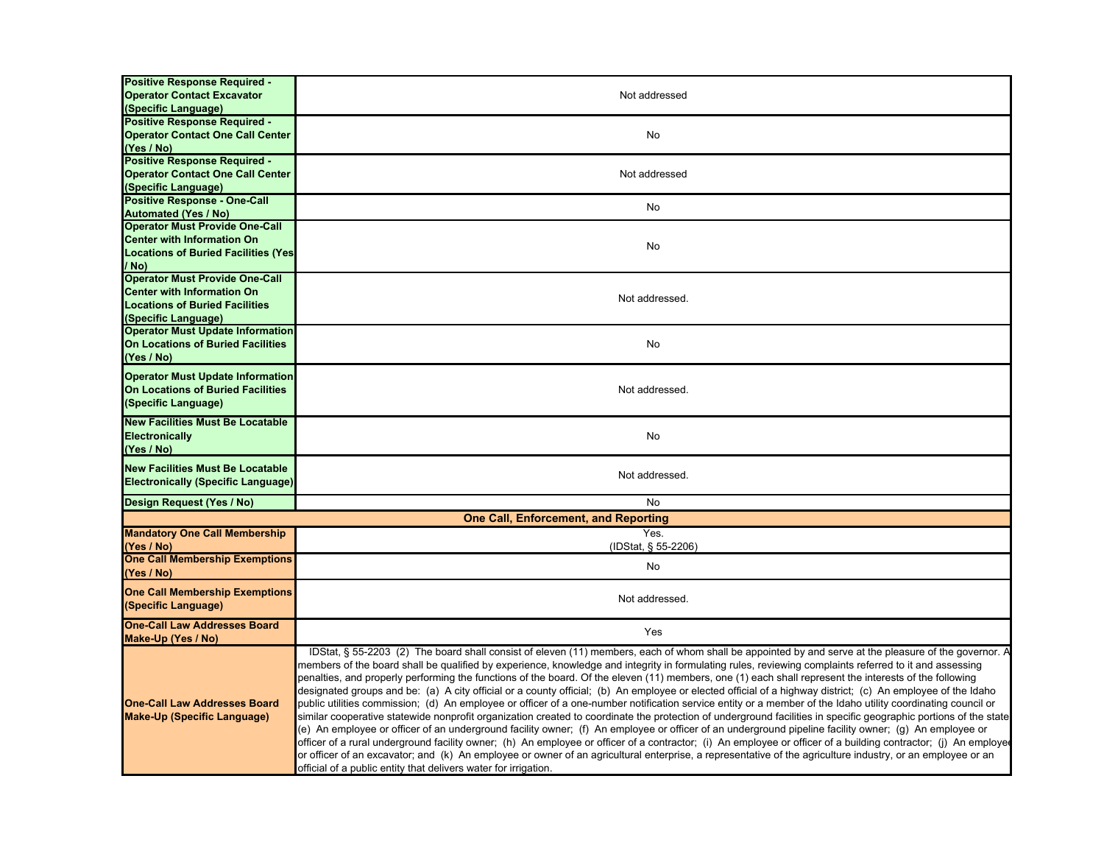| <b>Positive Response Required -</b><br><b>Operator Contact Excavator</b> | Not addressed                                                                                                                                                    |
|--------------------------------------------------------------------------|------------------------------------------------------------------------------------------------------------------------------------------------------------------|
| (Specific Language)<br><b>Positive Response Required -</b>               |                                                                                                                                                                  |
| <b>Operator Contact One Call Center</b>                                  | No                                                                                                                                                               |
| (Yes / No)                                                               |                                                                                                                                                                  |
| Positive Response Required -                                             |                                                                                                                                                                  |
| <b>Operator Contact One Call Center</b>                                  | Not addressed                                                                                                                                                    |
| (Specific Language)                                                      |                                                                                                                                                                  |
| <b>Positive Response - One-Call</b>                                      | No                                                                                                                                                               |
| <b>Automated (Yes / No)</b>                                              |                                                                                                                                                                  |
| <b>Operator Must Provide One-Call</b>                                    |                                                                                                                                                                  |
| <b>Center with Information On</b>                                        | No                                                                                                                                                               |
| <b>Locations of Buried Facilities (Yes)</b><br>/ No)                     |                                                                                                                                                                  |
| <b>Operator Must Provide One-Call</b>                                    |                                                                                                                                                                  |
| <b>Center with Information On</b>                                        |                                                                                                                                                                  |
| <b>Locations of Buried Facilities</b>                                    | Not addressed.                                                                                                                                                   |
| (Specific Language)                                                      |                                                                                                                                                                  |
| <b>Operator Must Update Information</b>                                  |                                                                                                                                                                  |
| <b>On Locations of Buried Facilities</b>                                 | No                                                                                                                                                               |
| (Yes / No)                                                               |                                                                                                                                                                  |
| <b>Operator Must Update Information</b>                                  |                                                                                                                                                                  |
| <b>On Locations of Buried Facilities</b>                                 | Not addressed.                                                                                                                                                   |
| (Specific Language)                                                      |                                                                                                                                                                  |
|                                                                          |                                                                                                                                                                  |
| <b>New Facilities Must Be Locatable</b>                                  |                                                                                                                                                                  |
| Electronically                                                           | No                                                                                                                                                               |
| (Yes / No)                                                               |                                                                                                                                                                  |
| <b>New Facilities Must Be Locatable</b>                                  | Not addressed.                                                                                                                                                   |
| <b>Electronically (Specific Language)</b>                                |                                                                                                                                                                  |
| Design Request (Yes / No)                                                | No                                                                                                                                                               |
|                                                                          | <b>One Call, Enforcement, and Reporting</b>                                                                                                                      |
| <b>Mandatory One Call Membership</b>                                     | Yes.                                                                                                                                                             |
| (Yes / No)                                                               | (IDStat, § 55-2206)                                                                                                                                              |
| <b>One Call Membership Exemptions</b>                                    | No                                                                                                                                                               |
| (Yes / No)                                                               |                                                                                                                                                                  |
| <b>One Call Membership Exemptions</b>                                    |                                                                                                                                                                  |
| (Specific Language)                                                      | Not addressed.                                                                                                                                                   |
| <b>One-Call Law Addresses Board</b>                                      |                                                                                                                                                                  |
| Make-Up (Yes / No)                                                       | Yes                                                                                                                                                              |
|                                                                          | IDStat, § 55-2203 (2) The board shall consist of eleven (11) members, each of whom shall be appointed by and serve at the pleasure of the governor. P            |
|                                                                          | members of the board shall be qualified by experience, knowledge and integrity in formulating rules, reviewing complaints referred to it and assessing           |
|                                                                          | penalties, and properly performing the functions of the board. Of the eleven (11) members, one (1) each shall represent the interests of the following           |
|                                                                          | designated groups and be: (a) A city official or a county official; (b) An employee or elected official of a highway district; (c) An employee of the Idaho      |
| <b>One-Call Law Addresses Board</b>                                      | public utilities commission; (d) An employee or officer of a one-number notification service entity or a member of the Idaho utility coordinating council or     |
| <b>Make-Up (Specific Language)</b>                                       | similar cooperative statewide nonprofit organization created to coordinate the protection of underground facilities in specific geographic portions of the state |
|                                                                          | (e) An employee or officer of an underground facility owner; (f) An employee or officer of an underground pipeline facility owner; (g) An employee or            |
|                                                                          | officer of a rural underground facility owner; (h) An employee or officer of a contractor; (i) An employee or officer of a building contractor; (j) An employee  |
|                                                                          | or officer of an excavator; and (k) An employee or owner of an agricultural enterprise, a representative of the agriculture industry, or an employee or an       |
|                                                                          | official of a public entity that delivers water for irrigation.                                                                                                  |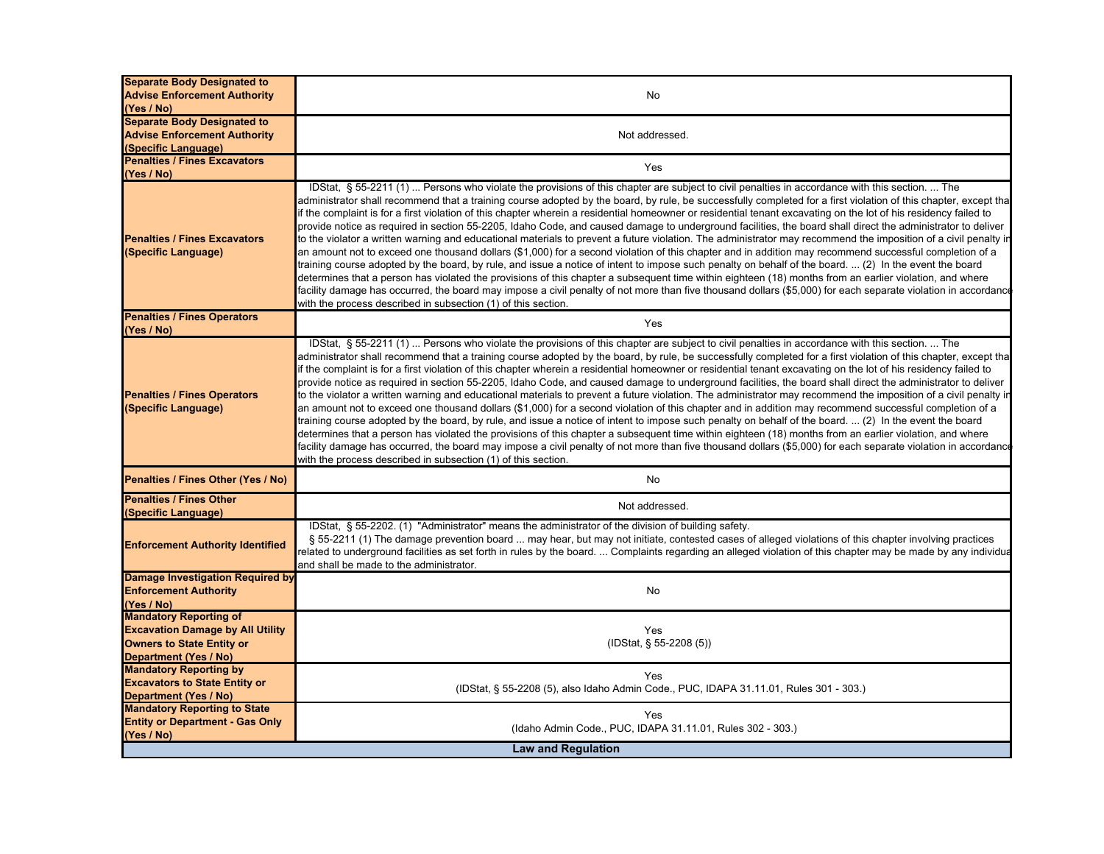| <b>Separate Body Designated to</b>                         |                                                                                                                                                                                                                                                                                                                                                                                                                                                                                                                                                                                                                                                                                                                                                                                                                                                                                                                                                                                                                                                                                                                                                                                                                                                                                                                                                                                                                                                                                                                                          |  |
|------------------------------------------------------------|------------------------------------------------------------------------------------------------------------------------------------------------------------------------------------------------------------------------------------------------------------------------------------------------------------------------------------------------------------------------------------------------------------------------------------------------------------------------------------------------------------------------------------------------------------------------------------------------------------------------------------------------------------------------------------------------------------------------------------------------------------------------------------------------------------------------------------------------------------------------------------------------------------------------------------------------------------------------------------------------------------------------------------------------------------------------------------------------------------------------------------------------------------------------------------------------------------------------------------------------------------------------------------------------------------------------------------------------------------------------------------------------------------------------------------------------------------------------------------------------------------------------------------------|--|
| <b>Advise Enforcement Authority</b>                        | No                                                                                                                                                                                                                                                                                                                                                                                                                                                                                                                                                                                                                                                                                                                                                                                                                                                                                                                                                                                                                                                                                                                                                                                                                                                                                                                                                                                                                                                                                                                                       |  |
| (Yes / No)                                                 |                                                                                                                                                                                                                                                                                                                                                                                                                                                                                                                                                                                                                                                                                                                                                                                                                                                                                                                                                                                                                                                                                                                                                                                                                                                                                                                                                                                                                                                                                                                                          |  |
| <b>Separate Body Designated to</b>                         |                                                                                                                                                                                                                                                                                                                                                                                                                                                                                                                                                                                                                                                                                                                                                                                                                                                                                                                                                                                                                                                                                                                                                                                                                                                                                                                                                                                                                                                                                                                                          |  |
| <b>Advise Enforcement Authority</b>                        | Not addressed.                                                                                                                                                                                                                                                                                                                                                                                                                                                                                                                                                                                                                                                                                                                                                                                                                                                                                                                                                                                                                                                                                                                                                                                                                                                                                                                                                                                                                                                                                                                           |  |
| (Specific Language)                                        |                                                                                                                                                                                                                                                                                                                                                                                                                                                                                                                                                                                                                                                                                                                                                                                                                                                                                                                                                                                                                                                                                                                                                                                                                                                                                                                                                                                                                                                                                                                                          |  |
| <b>Penalties / Fines Excavators</b>                        | Yes                                                                                                                                                                                                                                                                                                                                                                                                                                                                                                                                                                                                                                                                                                                                                                                                                                                                                                                                                                                                                                                                                                                                                                                                                                                                                                                                                                                                                                                                                                                                      |  |
| (Yes / No)                                                 |                                                                                                                                                                                                                                                                                                                                                                                                                                                                                                                                                                                                                                                                                                                                                                                                                                                                                                                                                                                                                                                                                                                                                                                                                                                                                                                                                                                                                                                                                                                                          |  |
| <b>Penalties / Fines Excavators</b><br>(Specific Language) | IDStat, § 55-2211 (1)  Persons who violate the provisions of this chapter are subject to civil penalties in accordance with this section.  The<br>administrator shall recommend that a training course adopted by the board, by rule, be successfully completed for a first violation of this chapter, except tha<br>if the complaint is for a first violation of this chapter wherein a residential homeowner or residential tenant excavating on the lot of his residency failed to<br>provide notice as required in section 55-2205, Idaho Code, and caused damage to underground facilities, the board shall direct the administrator to deliver<br>to the violator a written warning and educational materials to prevent a future violation. The administrator may recommend the imposition of a civil penalty ir<br>an amount not to exceed one thousand dollars (\$1,000) for a second violation of this chapter and in addition may recommend successful completion of a<br>training course adopted by the board, by rule, and issue a notice of intent to impose such penalty on behalf of the board.  (2) In the event the board<br>determines that a person has violated the provisions of this chapter a subsequent time within eighteen (18) months from an earlier violation, and where<br>facility damage has occurred, the board may impose a civil penalty of not more than five thousand dollars (\$5,000) for each separate violation in accordance<br>with the process described in subsection (1) of this section. |  |
| <b>Penalties / Fines Operators</b><br>(Yes / No)           | Yes                                                                                                                                                                                                                                                                                                                                                                                                                                                                                                                                                                                                                                                                                                                                                                                                                                                                                                                                                                                                                                                                                                                                                                                                                                                                                                                                                                                                                                                                                                                                      |  |
| <b>Penalties / Fines Operators</b><br>(Specific Language)  | IDStat, § 55-2211 (1)  Persons who violate the provisions of this chapter are subject to civil penalties in accordance with this section.  The<br>administrator shall recommend that a training course adopted by the board, by rule, be successfully completed for a first violation of this chapter, except tha<br>if the complaint is for a first violation of this chapter wherein a residential homeowner or residential tenant excavating on the lot of his residency failed to<br>provide notice as required in section 55-2205, Idaho Code, and caused damage to underground facilities, the board shall direct the administrator to deliver<br>to the violator a written warning and educational materials to prevent a future violation. The administrator may recommend the imposition of a civil penalty ir<br>an amount not to exceed one thousand dollars (\$1,000) for a second violation of this chapter and in addition may recommend successful completion of a<br>training course adopted by the board, by rule, and issue a notice of intent to impose such penalty on behalf of the board.  (2) In the event the board<br>determines that a person has violated the provisions of this chapter a subsequent time within eighteen (18) months from an earlier violation, and where<br>facility damage has occurred, the board may impose a civil penalty of not more than five thousand dollars (\$5,000) for each separate violation in accordance<br>with the process described in subsection (1) of this section. |  |
| Penalties / Fines Other (Yes / No)                         | No                                                                                                                                                                                                                                                                                                                                                                                                                                                                                                                                                                                                                                                                                                                                                                                                                                                                                                                                                                                                                                                                                                                                                                                                                                                                                                                                                                                                                                                                                                                                       |  |
| <b>Penalties / Fines Other</b>                             | Not addressed.                                                                                                                                                                                                                                                                                                                                                                                                                                                                                                                                                                                                                                                                                                                                                                                                                                                                                                                                                                                                                                                                                                                                                                                                                                                                                                                                                                                                                                                                                                                           |  |
| (Specific Language)                                        |                                                                                                                                                                                                                                                                                                                                                                                                                                                                                                                                                                                                                                                                                                                                                                                                                                                                                                                                                                                                                                                                                                                                                                                                                                                                                                                                                                                                                                                                                                                                          |  |
| <b>Enforcement Authority Identified</b>                    | IDStat, § 55-2202. (1) "Administrator" means the administrator of the division of building safety.<br>§ 55-2211 (1) The damage prevention board  may hear, but may not initiate, contested cases of alleged violations of this chapter involving practices<br>related to underground facilities as set forth in rules by the board.  Complaints regarding an alleged violation of this chapter may be made by any individua<br>and shall be made to the administrator.                                                                                                                                                                                                                                                                                                                                                                                                                                                                                                                                                                                                                                                                                                                                                                                                                                                                                                                                                                                                                                                                   |  |
| Damage Investigation Required by                           |                                                                                                                                                                                                                                                                                                                                                                                                                                                                                                                                                                                                                                                                                                                                                                                                                                                                                                                                                                                                                                                                                                                                                                                                                                                                                                                                                                                                                                                                                                                                          |  |
| <b>Enforcement Authority</b>                               | No                                                                                                                                                                                                                                                                                                                                                                                                                                                                                                                                                                                                                                                                                                                                                                                                                                                                                                                                                                                                                                                                                                                                                                                                                                                                                                                                                                                                                                                                                                                                       |  |
| (Yes / No)                                                 |                                                                                                                                                                                                                                                                                                                                                                                                                                                                                                                                                                                                                                                                                                                                                                                                                                                                                                                                                                                                                                                                                                                                                                                                                                                                                                                                                                                                                                                                                                                                          |  |
| <b>Mandatory Reporting of</b>                              |                                                                                                                                                                                                                                                                                                                                                                                                                                                                                                                                                                                                                                                                                                                                                                                                                                                                                                                                                                                                                                                                                                                                                                                                                                                                                                                                                                                                                                                                                                                                          |  |
| <b>Excavation Damage by All Utility</b>                    | Yes                                                                                                                                                                                                                                                                                                                                                                                                                                                                                                                                                                                                                                                                                                                                                                                                                                                                                                                                                                                                                                                                                                                                                                                                                                                                                                                                                                                                                                                                                                                                      |  |
| <b>Owners to State Entity or</b>                           | (IDStat, § 55-2208 (5))                                                                                                                                                                                                                                                                                                                                                                                                                                                                                                                                                                                                                                                                                                                                                                                                                                                                                                                                                                                                                                                                                                                                                                                                                                                                                                                                                                                                                                                                                                                  |  |
| Department (Yes / No)                                      |                                                                                                                                                                                                                                                                                                                                                                                                                                                                                                                                                                                                                                                                                                                                                                                                                                                                                                                                                                                                                                                                                                                                                                                                                                                                                                                                                                                                                                                                                                                                          |  |
| <b>Mandatory Reporting by</b>                              | Yes                                                                                                                                                                                                                                                                                                                                                                                                                                                                                                                                                                                                                                                                                                                                                                                                                                                                                                                                                                                                                                                                                                                                                                                                                                                                                                                                                                                                                                                                                                                                      |  |
| <b>Excavators to State Entity or</b>                       | (IDStat, § 55-2208 (5), also Idaho Admin Code., PUC, IDAPA 31.11.01, Rules 301 - 303.)                                                                                                                                                                                                                                                                                                                                                                                                                                                                                                                                                                                                                                                                                                                                                                                                                                                                                                                                                                                                                                                                                                                                                                                                                                                                                                                                                                                                                                                   |  |
| <b>Department (Yes / No)</b>                               |                                                                                                                                                                                                                                                                                                                                                                                                                                                                                                                                                                                                                                                                                                                                                                                                                                                                                                                                                                                                                                                                                                                                                                                                                                                                                                                                                                                                                                                                                                                                          |  |
| <b>Mandatory Reporting to State</b>                        | Yes                                                                                                                                                                                                                                                                                                                                                                                                                                                                                                                                                                                                                                                                                                                                                                                                                                                                                                                                                                                                                                                                                                                                                                                                                                                                                                                                                                                                                                                                                                                                      |  |
| <b>Entity or Department - Gas Only</b>                     | (Idaho Admin Code., PUC, IDAPA 31.11.01, Rules 302 - 303.)                                                                                                                                                                                                                                                                                                                                                                                                                                                                                                                                                                                                                                                                                                                                                                                                                                                                                                                                                                                                                                                                                                                                                                                                                                                                                                                                                                                                                                                                               |  |
| (Yes / No)                                                 |                                                                                                                                                                                                                                                                                                                                                                                                                                                                                                                                                                                                                                                                                                                                                                                                                                                                                                                                                                                                                                                                                                                                                                                                                                                                                                                                                                                                                                                                                                                                          |  |
| <b>Law and Regulation</b>                                  |                                                                                                                                                                                                                                                                                                                                                                                                                                                                                                                                                                                                                                                                                                                                                                                                                                                                                                                                                                                                                                                                                                                                                                                                                                                                                                                                                                                                                                                                                                                                          |  |